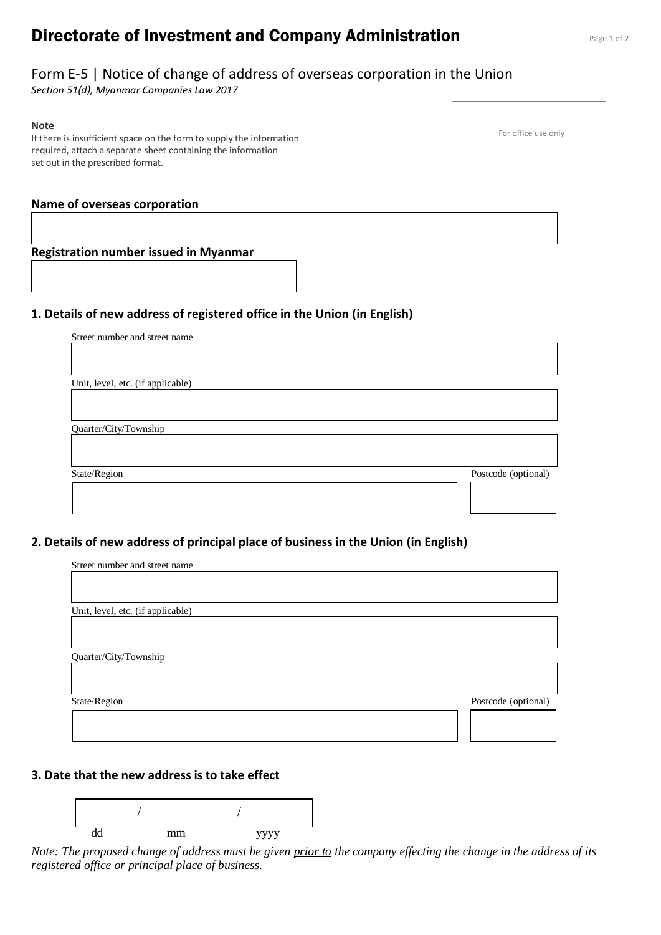# **Directorate of Investment and Company Administration** Page 1 of 2

## Form E-5 | Notice of change of address of overseas corporation in the Union

*Section 51(d), Myanmar Companies Law 2017*

#### **Note**

If there is insufficient space on the form to supply the information required, attach a separate sheet containing the information set out in the prescribed format.

#### **Name of overseas corporation**

#### **Registration number issued in Myanmar**

#### **1. Details of new address of registered office in the Union (in English)**

Street number and street name

Unit, level, etc. (if applicable)

Quarter/City/Township

State/Region Postcode (optional)

## **2. Details of new address of principal place of business in the Union (in English)**

| Street number and street name     |                     |
|-----------------------------------|---------------------|
|                                   |                     |
|                                   |                     |
|                                   |                     |
| Unit, level, etc. (if applicable) |                     |
|                                   |                     |
|                                   |                     |
| Quarter/City/Township             |                     |
|                                   |                     |
|                                   |                     |
|                                   |                     |
| State/Region                      | Postcode (optional) |
|                                   |                     |
|                                   |                     |
|                                   |                     |

## **3. Date that the new address is to take effect**



*Note: The proposed change of address must be given prior to the company effecting the change in the address of its registered office or principal place of business.*

For office use only